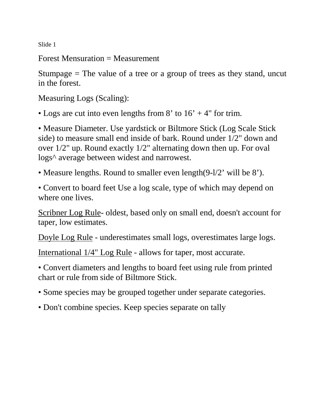Slide 1

Forest Mensuration = Measurement

Stumpage  $=$  The value of a tree or a group of trees as they stand, uncut in the forest.

Measuring Logs (Scaling):

• Logs are cut into even lengths from 8' to  $16' + 4''$  for trim.

• Measure Diameter. Use yardstick or Biltmore Stick (Log Scale Stick side) to measure small end inside of bark. Round under 1/2" down and over 1/2" up. Round exactly 1/2" alternating down then up. For oval logs^ average between widest and narrowest.

• Measure lengths. Round to smaller even length(9-l/2' will be 8').

• Convert to board feet Use a log scale, type of which may depend on where one lives.

Scribner Log Rule- oldest, based only on small end, doesn't account for taper, low estimates.

Doyle Log Rule - underestimates small logs, overestimates large logs.

International 1/4" Log Rule - allows for taper, most accurate.

• Convert diameters and lengths to board feet using rule from printed chart or rule from side of Biltmore Stick.

- Some species may be grouped together under separate categories.
- Don't combine species. Keep species separate on tally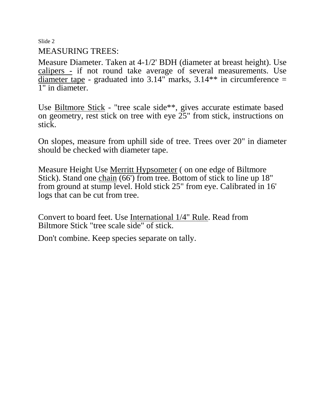Slide 2

## MEASURING TREES:

Measure Diameter. Taken at 4-1/2' BDH (diameter at breast height). Use calipers - if not round take average of several measurements. Use diameter tape - graduated into  $3.14$ " marks,  $3.14$ \*\* in circumference = 1" in diameter.

Use Biltmore Stick - "tree scale side\*\*, gives accurate estimate based on geometry, rest stick on tree with eye 25" from stick, instructions on stick.

On slopes, measure from uphill side of tree. Trees over 20" in diameter should be checked with diameter tape.

Measure Height Use Merritt Hypsometer ( on one edge of Biltmore Stick). Stand one chain (66') from tree. Bottom of stick to line up 18" from ground at stump level. Hold stick 25" from eye. Calibrated in 16' logs that can be cut from tree.

Convert to board feet. Use International 1/4" Rule. Read from Biltmore Stick "tree scale side" of stick.

Don't combine. Keep species separate on tally.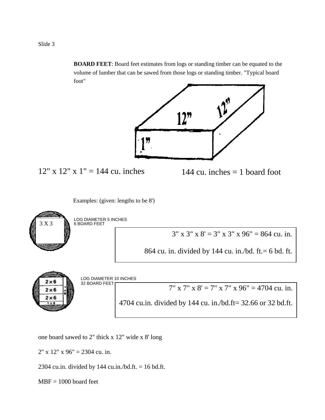**BOARD FEET**: Board feet estimates from logs or standing timber can be equated to the volume of lumber that can be sawed from those logs or standing timber. "Typical board foot"



one board sawed to 2" thick x 12" wide x 8' long

 $2"$  x  $12"$  x  $96"$  = 2304 cu. in.

2304 cu.in. divided by 144 cu.in./bd.ft.  $= 16$  bd.ft.

 $MBF = 1000$  board feet